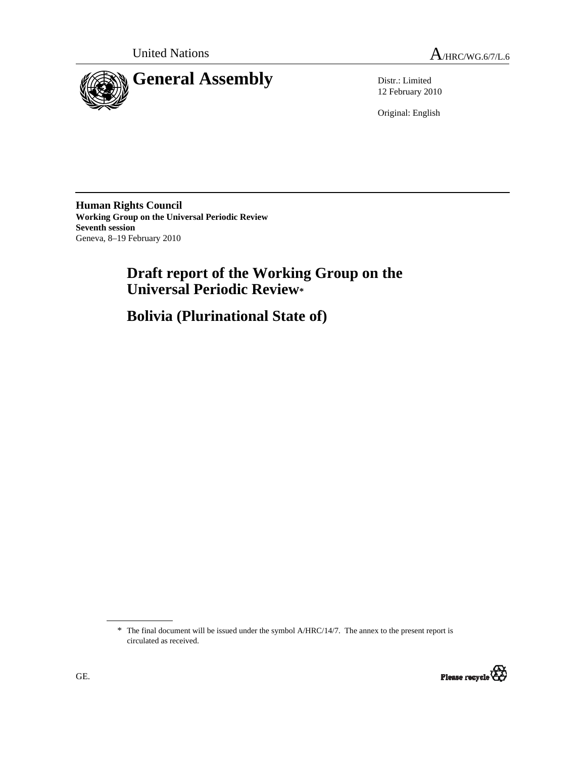United Nations  $A_{HRC/WG.6/7/L.6}$ 



12 February 2010

Original: English

**Human Rights Council Working Group on the Universal Periodic Review Seventh session**  Geneva, 8–19 February 2010

# **Draft report of the Working Group on the Universal Periodic Review\***

 **Bolivia (Plurinational State of)** 

<sup>\*</sup> The final document will be issued under the symbol A/HRC/14/7. The annex to the present report is circulated as received.

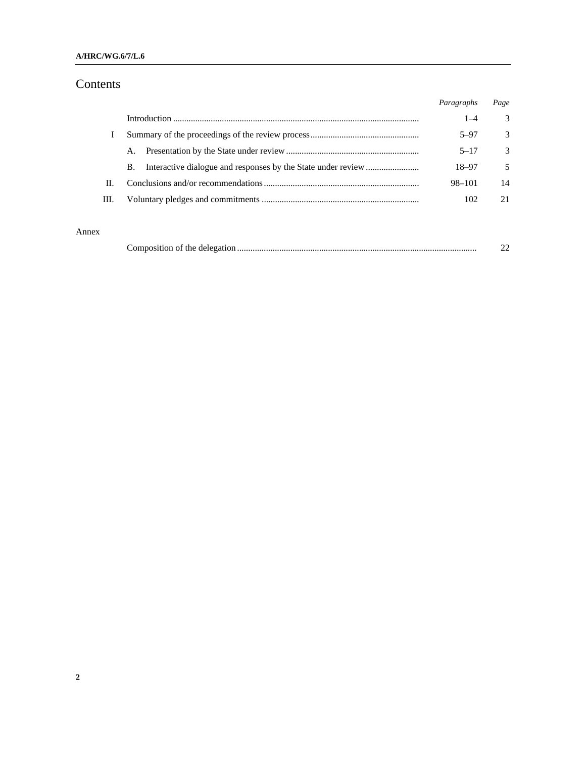### **A/HRC/WG.6/7/L.6**

## Contents

|    |           | Paragraphs | Page          |
|----|-----------|------------|---------------|
|    |           | $1 - 4$    | 3             |
|    |           | $5 - 97$   | 3             |
|    | А.        | $5 - 17$   | $\mathcal{Z}$ |
|    | <b>B.</b> | 18-97      | .5            |
| H. |           | 98-101     | 14            |
| Ш. |           | 102        | 21            |

### Annex

| Composition of the delegation. |  |
|--------------------------------|--|
|--------------------------------|--|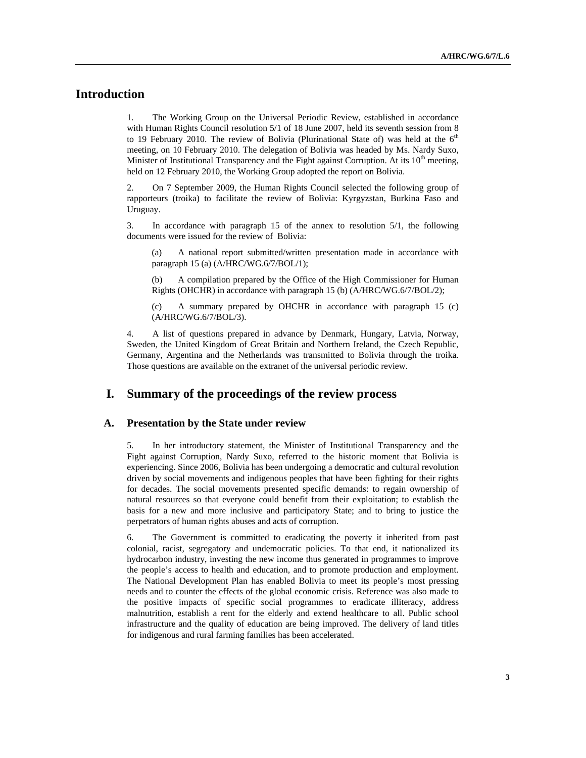## **Introduction**

1. The Working Group on the Universal Periodic Review, established in accordance with Human Rights Council resolution 5/1 of 18 June 2007, held its seventh session from 8 to 19 February 2010. The review of Bolivia (Plurinational State of) was held at the  $6<sup>th</sup>$ meeting, on 10 February 2010. The delegation of Bolivia was headed by Ms. Nardy Suxo, Minister of Institutional Transparency and the Fight against Corruption. At its  $10<sup>th</sup>$  meeting, held on 12 February 2010, the Working Group adopted the report on Bolivia.

2. On 7 September 2009, the Human Rights Council selected the following group of rapporteurs (troika) to facilitate the review of Bolivia: Kyrgyzstan, Burkina Faso and Uruguay.

3. In accordance with paragraph 15 of the annex to resolution 5/1, the following documents were issued for the review of Bolivia:

A national report submitted/written presentation made in accordance with paragraph 15 (a) (A/HRC/WG.6/7/BOL/1);

A compilation prepared by the Office of the High Commissioner for Human Rights (OHCHR) in accordance with paragraph 15 (b) (A/HRC/WG.6/7/BOL/2);

(c) A summary prepared by OHCHR in accordance with paragraph 15 (c) (A/HRC/WG.6/7/BOL/3).

4. A list of questions prepared in advance by Denmark, Hungary, Latvia, Norway, Sweden, the United Kingdom of Great Britain and Northern Ireland, the Czech Republic, Germany, Argentina and the Netherlands was transmitted to Bolivia through the troika. Those questions are available on the extranet of the universal periodic review.

### **I. Summary of the proceedings of the review process**

#### **A. Presentation by the State under review**

5. In her introductory statement, the Minister of Institutional Transparency and the Fight against Corruption, Nardy Suxo, referred to the historic moment that Bolivia is experiencing. Since 2006, Bolivia has been undergoing a democratic and cultural revolution driven by social movements and indigenous peoples that have been fighting for their rights for decades. The social movements presented specific demands: to regain ownership of natural resources so that everyone could benefit from their exploitation; to establish the basis for a new and more inclusive and participatory State; and to bring to justice the perpetrators of human rights abuses and acts of corruption.

6. The Government is committed to eradicating the poverty it inherited from past colonial, racist, segregatory and undemocratic policies. To that end, it nationalized its hydrocarbon industry, investing the new income thus generated in programmes to improve the people's access to health and education, and to promote production and employment. The National Development Plan has enabled Bolivia to meet its people's most pressing needs and to counter the effects of the global economic crisis. Reference was also made to the positive impacts of specific social programmes to eradicate illiteracy, address malnutrition, establish a rent for the elderly and extend healthcare to all. Public school infrastructure and the quality of education are being improved. The delivery of land titles for indigenous and rural farming families has been accelerated.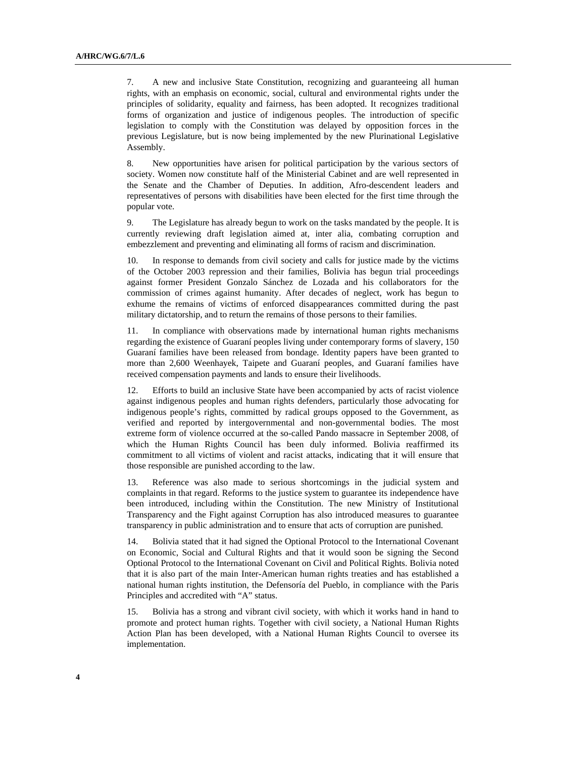7. A new and inclusive State Constitution, recognizing and guaranteeing all human rights, with an emphasis on economic, social, cultural and environmental rights under the principles of solidarity, equality and fairness, has been adopted. It recognizes traditional forms of organization and justice of indigenous peoples. The introduction of specific legislation to comply with the Constitution was delayed by opposition forces in the previous Legislature, but is now being implemented by the new Plurinational Legislative Assembly.

8. New opportunities have arisen for political participation by the various sectors of society. Women now constitute half of the Ministerial Cabinet and are well represented in the Senate and the Chamber of Deputies. In addition, Afro-descendent leaders and representatives of persons with disabilities have been elected for the first time through the popular vote.

9. The Legislature has already begun to work on the tasks mandated by the people. It is currently reviewing draft legislation aimed at, inter alia, combating corruption and embezzlement and preventing and eliminating all forms of racism and discrimination.

10. In response to demands from civil society and calls for justice made by the victims of the October 2003 repression and their families, Bolivia has begun trial proceedings against former President Gonzalo Sánchez de Lozada and his collaborators for the commission of crimes against humanity. After decades of neglect, work has begun to exhume the remains of victims of enforced disappearances committed during the past military dictatorship, and to return the remains of those persons to their families.

11. In compliance with observations made by international human rights mechanisms regarding the existence of Guaraní peoples living under contemporary forms of slavery, 150 Guaraní families have been released from bondage. Identity papers have been granted to more than 2,600 Weenhayek, Taipete and Guaraní peoples, and Guaraní families have received compensation payments and lands to ensure their livelihoods.

12. Efforts to build an inclusive State have been accompanied by acts of racist violence against indigenous peoples and human rights defenders, particularly those advocating for indigenous people's rights, committed by radical groups opposed to the Government, as verified and reported by intergovernmental and non-governmental bodies. The most extreme form of violence occurred at the so-called Pando massacre in September 2008, of which the Human Rights Council has been duly informed. Bolivia reaffirmed its commitment to all victims of violent and racist attacks, indicating that it will ensure that those responsible are punished according to the law.

13. Reference was also made to serious shortcomings in the judicial system and complaints in that regard. Reforms to the justice system to guarantee its independence have been introduced, including within the Constitution. The new Ministry of Institutional Transparency and the Fight against Corruption has also introduced measures to guarantee transparency in public administration and to ensure that acts of corruption are punished.

14. Bolivia stated that it had signed the Optional Protocol to the International Covenant on Economic, Social and Cultural Rights and that it would soon be signing the Second Optional Protocol to the International Covenant on Civil and Political Rights. Bolivia noted that it is also part of the main Inter-American human rights treaties and has established a national human rights institution, the Defensoría del Pueblo, in compliance with the Paris Principles and accredited with "A" status.

15. Bolivia has a strong and vibrant civil society, with which it works hand in hand to promote and protect human rights. Together with civil society, a National Human Rights Action Plan has been developed, with a National Human Rights Council to oversee its implementation.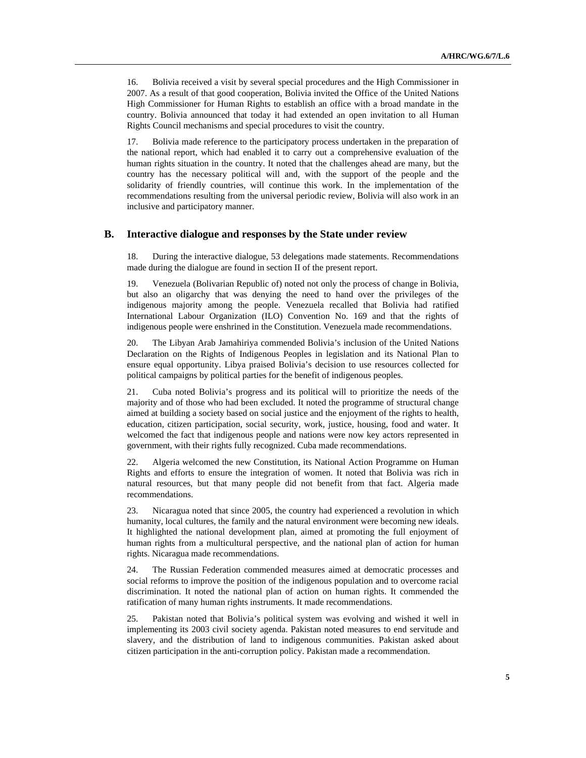16. Bolivia received a visit by several special procedures and the High Commissioner in 2007. As a result of that good cooperation, Bolivia invited the Office of the United Nations High Commissioner for Human Rights to establish an office with a broad mandate in the country. Bolivia announced that today it had extended an open invitation to all Human Rights Council mechanisms and special procedures to visit the country.

17. Bolivia made reference to the participatory process undertaken in the preparation of the national report, which had enabled it to carry out a comprehensive evaluation of the human rights situation in the country. It noted that the challenges ahead are many, but the country has the necessary political will and, with the support of the people and the solidarity of friendly countries, will continue this work. In the implementation of the recommendations resulting from the universal periodic review, Bolivia will also work in an inclusive and participatory manner.

#### **B. Interactive dialogue and responses by the State under review**

18. During the interactive dialogue, 53 delegations made statements. Recommendations made during the dialogue are found in section II of the present report.

19. Venezuela (Bolivarian Republic of) noted not only the process of change in Bolivia, but also an oligarchy that was denying the need to hand over the privileges of the indigenous majority among the people. Venezuela recalled that Bolivia had ratified International Labour Organization (ILO) Convention No. 169 and that the rights of indigenous people were enshrined in the Constitution. Venezuela made recommendations.

20. The Libyan Arab Jamahiriya commended Bolivia's inclusion of the United Nations Declaration on the Rights of Indigenous Peoples in legislation and its National Plan to ensure equal opportunity. Libya praised Bolivia's decision to use resources collected for political campaigns by political parties for the benefit of indigenous peoples.

21. Cuba noted Bolivia's progress and its political will to prioritize the needs of the majority and of those who had been excluded. It noted the programme of structural change aimed at building a society based on social justice and the enjoyment of the rights to health, education, citizen participation, social security, work, justice, housing, food and water. It welcomed the fact that indigenous people and nations were now key actors represented in government, with their rights fully recognized. Cuba made recommendations.

22. Algeria welcomed the new Constitution, its National Action Programme on Human Rights and efforts to ensure the integration of women. It noted that Bolivia was rich in natural resources, but that many people did not benefit from that fact. Algeria made recommendations.

23. Nicaragua noted that since 2005, the country had experienced a revolution in which humanity, local cultures, the family and the natural environment were becoming new ideals. It highlighted the national development plan, aimed at promoting the full enjoyment of human rights from a multicultural perspective, and the national plan of action for human rights. Nicaragua made recommendations.

24. The Russian Federation commended measures aimed at democratic processes and social reforms to improve the position of the indigenous population and to overcome racial discrimination. It noted the national plan of action on human rights. It commended the ratification of many human rights instruments. It made recommendations.

25. Pakistan noted that Bolivia's political system was evolving and wished it well in implementing its 2003 civil society agenda. Pakistan noted measures to end servitude and slavery, and the distribution of land to indigenous communities. Pakistan asked about citizen participation in the anti-corruption policy. Pakistan made a recommendation.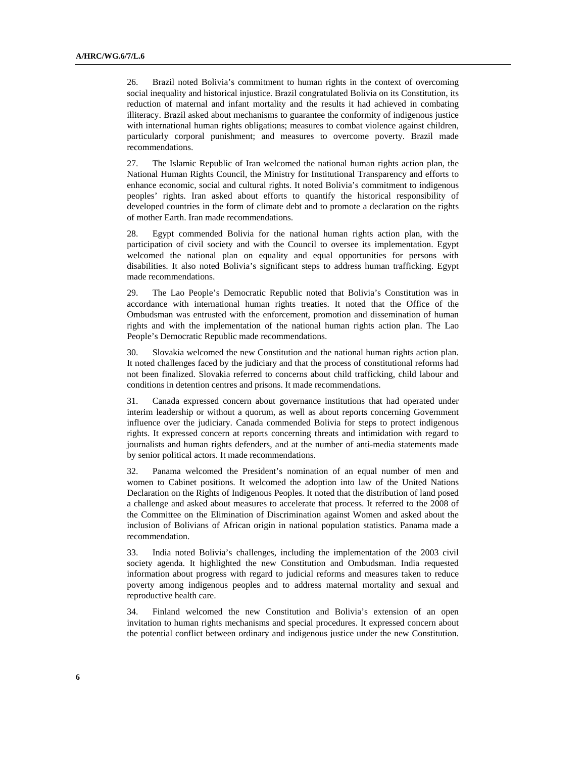26. Brazil noted Bolivia's commitment to human rights in the context of overcoming social inequality and historical injustice. Brazil congratulated Bolivia on its Constitution, its reduction of maternal and infant mortality and the results it had achieved in combating illiteracy. Brazil asked about mechanisms to guarantee the conformity of indigenous justice with international human rights obligations; measures to combat violence against children, particularly corporal punishment; and measures to overcome poverty. Brazil made recommendations.

27. The Islamic Republic of Iran welcomed the national human rights action plan, the National Human Rights Council, the Ministry for Institutional Transparency and efforts to enhance economic, social and cultural rights. It noted Bolivia's commitment to indigenous peoples' rights. Iran asked about efforts to quantify the historical responsibility of developed countries in the form of climate debt and to promote a declaration on the rights of mother Earth. Iran made recommendations.

28. Egypt commended Bolivia for the national human rights action plan, with the participation of civil society and with the Council to oversee its implementation. Egypt welcomed the national plan on equality and equal opportunities for persons with disabilities. It also noted Bolivia's significant steps to address human trafficking. Egypt made recommendations.

29. The Lao People's Democratic Republic noted that Bolivia's Constitution was in accordance with international human rights treaties. It noted that the Office of the Ombudsman was entrusted with the enforcement, promotion and dissemination of human rights and with the implementation of the national human rights action plan. The Lao People's Democratic Republic made recommendations.

30. Slovakia welcomed the new Constitution and the national human rights action plan. It noted challenges faced by the judiciary and that the process of constitutional reforms had not been finalized. Slovakia referred to concerns about child trafficking, child labour and conditions in detention centres and prisons. It made recommendations.

31. Canada expressed concern about governance institutions that had operated under interim leadership or without a quorum, as well as about reports concerning Government influence over the judiciary. Canada commended Bolivia for steps to protect indigenous rights. It expressed concern at reports concerning threats and intimidation with regard to journalists and human rights defenders, and at the number of anti-media statements made by senior political actors. It made recommendations.

32. Panama welcomed the President's nomination of an equal number of men and women to Cabinet positions. It welcomed the adoption into law of the United Nations Declaration on the Rights of Indigenous Peoples. It noted that the distribution of land posed a challenge and asked about measures to accelerate that process. It referred to the 2008 of the Committee on the Elimination of Discrimination against Women and asked about the inclusion of Bolivians of African origin in national population statistics. Panama made a recommendation.

33. India noted Bolivia's challenges, including the implementation of the 2003 civil society agenda. It highlighted the new Constitution and Ombudsman. India requested information about progress with regard to judicial reforms and measures taken to reduce poverty among indigenous peoples and to address maternal mortality and sexual and reproductive health care.

34. Finland welcomed the new Constitution and Bolivia's extension of an open invitation to human rights mechanisms and special procedures. It expressed concern about the potential conflict between ordinary and indigenous justice under the new Constitution.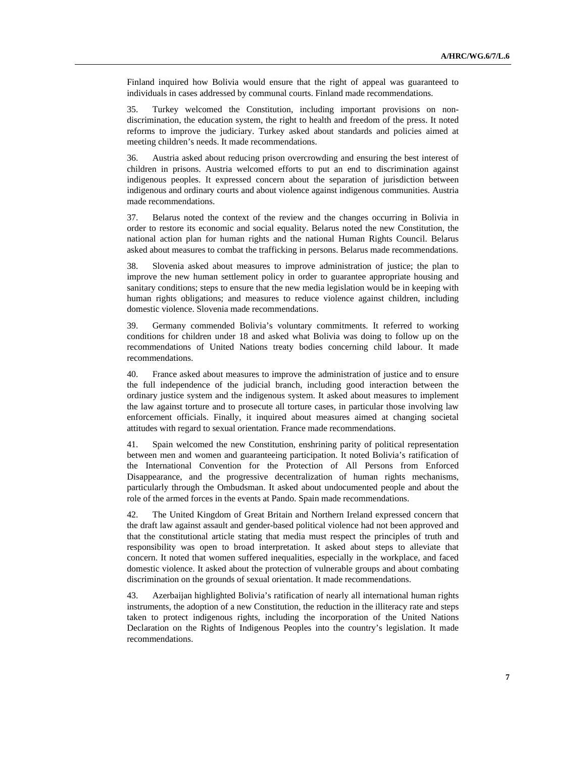Finland inquired how Bolivia would ensure that the right of appeal was guaranteed to individuals in cases addressed by communal courts. Finland made recommendations.

35. Turkey welcomed the Constitution, including important provisions on nondiscrimination, the education system, the right to health and freedom of the press. It noted reforms to improve the judiciary. Turkey asked about standards and policies aimed at meeting children's needs. It made recommendations.

36. Austria asked about reducing prison overcrowding and ensuring the best interest of children in prisons. Austria welcomed efforts to put an end to discrimination against indigenous peoples. It expressed concern about the separation of jurisdiction between indigenous and ordinary courts and about violence against indigenous communities. Austria made recommendations.

37. Belarus noted the context of the review and the changes occurring in Bolivia in order to restore its economic and social equality. Belarus noted the new Constitution, the national action plan for human rights and the national Human Rights Council. Belarus asked about measures to combat the trafficking in persons. Belarus made recommendations.

38. Slovenia asked about measures to improve administration of justice; the plan to improve the new human settlement policy in order to guarantee appropriate housing and sanitary conditions; steps to ensure that the new media legislation would be in keeping with human rights obligations; and measures to reduce violence against children, including domestic violence. Slovenia made recommendations.

39. Germany commended Bolivia's voluntary commitments. It referred to working conditions for children under 18 and asked what Bolivia was doing to follow up on the recommendations of United Nations treaty bodies concerning child labour. It made recommendations.

40. France asked about measures to improve the administration of justice and to ensure the full independence of the judicial branch, including good interaction between the ordinary justice system and the indigenous system. It asked about measures to implement the law against torture and to prosecute all torture cases, in particular those involving law enforcement officials. Finally, it inquired about measures aimed at changing societal attitudes with regard to sexual orientation. France made recommendations.

41. Spain welcomed the new Constitution, enshrining parity of political representation between men and women and guaranteeing participation. It noted Bolivia's ratification of the International Convention for the Protection of All Persons from Enforced Disappearance, and the progressive decentralization of human rights mechanisms, particularly through the Ombudsman. It asked about undocumented people and about the role of the armed forces in the events at Pando. Spain made recommendations.

42. The United Kingdom of Great Britain and Northern Ireland expressed concern that the draft law against assault and gender-based political violence had not been approved and that the constitutional article stating that media must respect the principles of truth and responsibility was open to broad interpretation. It asked about steps to alleviate that concern. It noted that women suffered inequalities, especially in the workplace, and faced domestic violence. It asked about the protection of vulnerable groups and about combating discrimination on the grounds of sexual orientation. It made recommendations.

43. Azerbaijan highlighted Bolivia's ratification of nearly all international human rights instruments, the adoption of a new Constitution, the reduction in the illiteracy rate and steps taken to protect indigenous rights, including the incorporation of the United Nations Declaration on the Rights of Indigenous Peoples into the country's legislation. It made recommendations.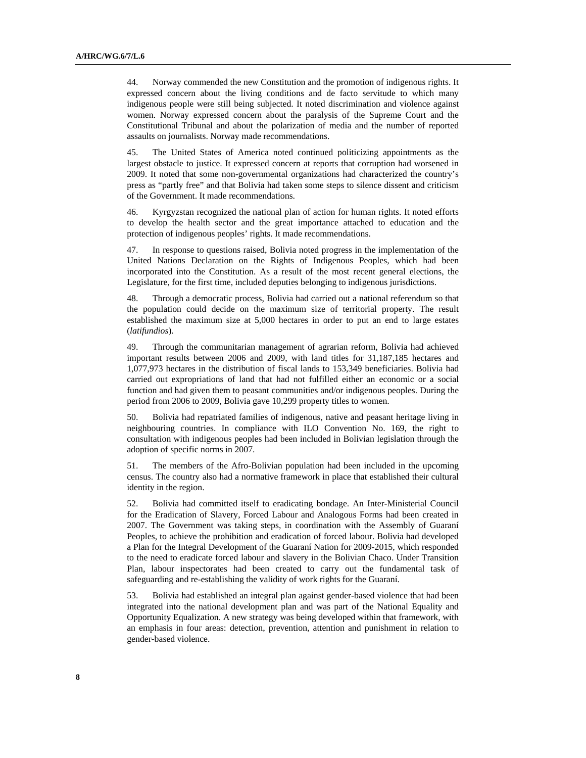44. Norway commended the new Constitution and the promotion of indigenous rights. It expressed concern about the living conditions and de facto servitude to which many indigenous people were still being subjected. It noted discrimination and violence against women. Norway expressed concern about the paralysis of the Supreme Court and the Constitutional Tribunal and about the polarization of media and the number of reported assaults on journalists. Norway made recommendations.

45. The United States of America noted continued politicizing appointments as the largest obstacle to justice. It expressed concern at reports that corruption had worsened in 2009. It noted that some non-governmental organizations had characterized the country's press as "partly free" and that Bolivia had taken some steps to silence dissent and criticism of the Government. It made recommendations.

46. Kyrgyzstan recognized the national plan of action for human rights. It noted efforts to develop the health sector and the great importance attached to education and the protection of indigenous peoples' rights. It made recommendations.

47. In response to questions raised, Bolivia noted progress in the implementation of the United Nations Declaration on the Rights of Indigenous Peoples, which had been incorporated into the Constitution. As a result of the most recent general elections, the Legislature, for the first time, included deputies belonging to indigenous jurisdictions.

48. Through a democratic process, Bolivia had carried out a national referendum so that the population could decide on the maximum size of territorial property. The result established the maximum size at 5,000 hectares in order to put an end to large estates (*latifundios*).

49. Through the communitarian management of agrarian reform, Bolivia had achieved important results between 2006 and 2009, with land titles for 31,187,185 hectares and 1,077,973 hectares in the distribution of fiscal lands to 153,349 beneficiaries. Bolivia had carried out expropriations of land that had not fulfilled either an economic or a social function and had given them to peasant communities and/or indigenous peoples. During the period from 2006 to 2009, Bolivia gave 10,299 property titles to women.

50. Bolivia had repatriated families of indigenous, native and peasant heritage living in neighbouring countries. In compliance with ILO Convention No. 169, the right to consultation with indigenous peoples had been included in Bolivian legislation through the adoption of specific norms in 2007.

51. The members of the Afro-Bolivian population had been included in the upcoming census. The country also had a normative framework in place that established their cultural identity in the region.

52. Bolivia had committed itself to eradicating bondage. An Inter-Ministerial Council for the Eradication of Slavery, Forced Labour and Analogous Forms had been created in 2007. The Government was taking steps, in coordination with the Assembly of Guaraní Peoples, to achieve the prohibition and eradication of forced labour. Bolivia had developed a Plan for the Integral Development of the Guaraní Nation for 2009-2015, which responded to the need to eradicate forced labour and slavery in the Bolivian Chaco. Under Transition Plan, labour inspectorates had been created to carry out the fundamental task of safeguarding and re-establishing the validity of work rights for the Guaraní.

53. Bolivia had established an integral plan against gender-based violence that had been integrated into the national development plan and was part of the National Equality and Opportunity Equalization. A new strategy was being developed within that framework, with an emphasis in four areas: detection, prevention, attention and punishment in relation to gender-based violence.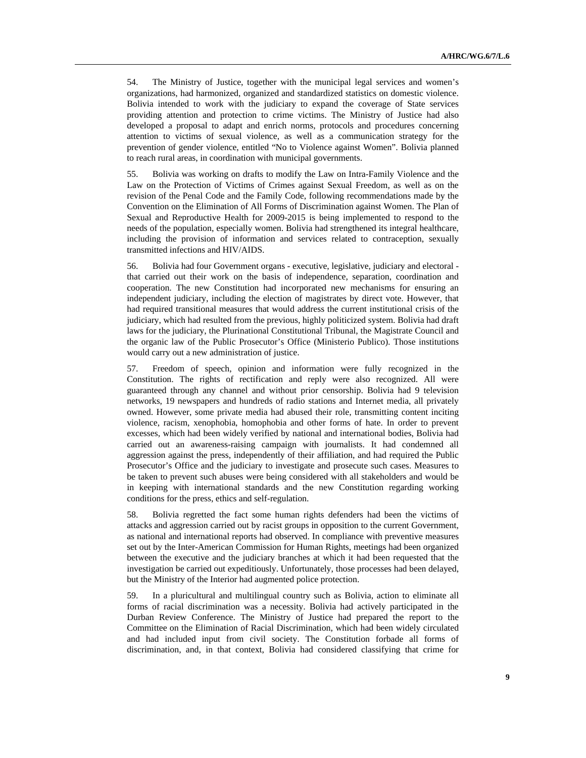54. The Ministry of Justice, together with the municipal legal services and women's organizations, had harmonized, organized and standardized statistics on domestic violence. Bolivia intended to work with the judiciary to expand the coverage of State services providing attention and protection to crime victims. The Ministry of Justice had also developed a proposal to adapt and enrich norms, protocols and procedures concerning attention to victims of sexual violence, as well as a communication strategy for the prevention of gender violence, entitled "No to Violence against Women". Bolivia planned to reach rural areas, in coordination with municipal governments.

55. Bolivia was working on drafts to modify the Law on Intra-Family Violence and the Law on the Protection of Victims of Crimes against Sexual Freedom, as well as on the revision of the Penal Code and the Family Code, following recommendations made by the Convention on the Elimination of All Forms of Discrimination against Women. The Plan of Sexual and Reproductive Health for 2009-2015 is being implemented to respond to the needs of the population, especially women. Bolivia had strengthened its integral healthcare, including the provision of information and services related to contraception, sexually transmitted infections and HIV/AIDS.

56. Bolivia had four Government organs - executive, legislative, judiciary and electoral that carried out their work on the basis of independence, separation, coordination and cooperation. The new Constitution had incorporated new mechanisms for ensuring an independent judiciary, including the election of magistrates by direct vote. However, that had required transitional measures that would address the current institutional crisis of the judiciary, which had resulted from the previous, highly politicized system. Bolivia had draft laws for the judiciary, the Plurinational Constitutional Tribunal, the Magistrate Council and the organic law of the Public Prosecutor's Office (Ministerio Publico). Those institutions would carry out a new administration of justice.

57. Freedom of speech, opinion and information were fully recognized in the Constitution. The rights of rectification and reply were also recognized. All were guaranteed through any channel and without prior censorship. Bolivia had 9 television networks, 19 newspapers and hundreds of radio stations and Internet media, all privately owned. However, some private media had abused their role, transmitting content inciting violence, racism, xenophobia, homophobia and other forms of hate. In order to prevent excesses, which had been widely verified by national and international bodies, Bolivia had carried out an awareness-raising campaign with journalists. It had condemned all aggression against the press, independently of their affiliation, and had required the Public Prosecutor's Office and the judiciary to investigate and prosecute such cases. Measures to be taken to prevent such abuses were being considered with all stakeholders and would be in keeping with international standards and the new Constitution regarding working conditions for the press, ethics and self-regulation.

58. Bolivia regretted the fact some human rights defenders had been the victims of attacks and aggression carried out by racist groups in opposition to the current Government, as national and international reports had observed. In compliance with preventive measures set out by the Inter-American Commission for Human Rights, meetings had been organized between the executive and the judiciary branches at which it had been requested that the investigation be carried out expeditiously. Unfortunately, those processes had been delayed, but the Ministry of the Interior had augmented police protection.

59. In a pluricultural and multilingual country such as Bolivia, action to eliminate all forms of racial discrimination was a necessity. Bolivia had actively participated in the Durban Review Conference. The Ministry of Justice had prepared the report to the Committee on the Elimination of Racial Discrimination, which had been widely circulated and had included input from civil society. The Constitution forbade all forms of discrimination, and, in that context, Bolivia had considered classifying that crime for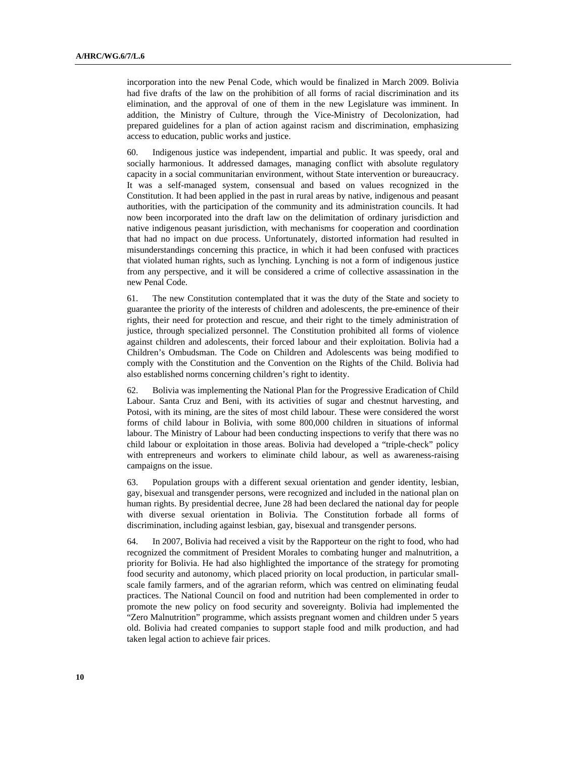incorporation into the new Penal Code, which would be finalized in March 2009. Bolivia had five drafts of the law on the prohibition of all forms of racial discrimination and its elimination, and the approval of one of them in the new Legislature was imminent. In addition, the Ministry of Culture, through the Vice-Ministry of Decolonization, had prepared guidelines for a plan of action against racism and discrimination, emphasizing access to education, public works and justice.

60. Indigenous justice was independent, impartial and public. It was speedy, oral and socially harmonious. It addressed damages, managing conflict with absolute regulatory capacity in a social communitarian environment, without State intervention or bureaucracy. It was a self-managed system, consensual and based on values recognized in the Constitution. It had been applied in the past in rural areas by native, indigenous and peasant authorities, with the participation of the community and its administration councils. It had now been incorporated into the draft law on the delimitation of ordinary jurisdiction and native indigenous peasant jurisdiction, with mechanisms for cooperation and coordination that had no impact on due process. Unfortunately, distorted information had resulted in misunderstandings concerning this practice, in which it had been confused with practices that violated human rights, such as lynching. Lynching is not a form of indigenous justice from any perspective, and it will be considered a crime of collective assassination in the new Penal Code.

61. The new Constitution contemplated that it was the duty of the State and society to guarantee the priority of the interests of children and adolescents, the pre-eminence of their rights, their need for protection and rescue, and their right to the timely administration of justice, through specialized personnel. The Constitution prohibited all forms of violence against children and adolescents, their forced labour and their exploitation. Bolivia had a Children's Ombudsman. The Code on Children and Adolescents was being modified to comply with the Constitution and the Convention on the Rights of the Child. Bolivia had also established norms concerning children's right to identity.

62. Bolivia was implementing the National Plan for the Progressive Eradication of Child Labour. Santa Cruz and Beni, with its activities of sugar and chestnut harvesting, and Potosi, with its mining, are the sites of most child labour. These were considered the worst forms of child labour in Bolivia, with some 800,000 children in situations of informal labour. The Ministry of Labour had been conducting inspections to verify that there was no child labour or exploitation in those areas. Bolivia had developed a "triple-check" policy with entrepreneurs and workers to eliminate child labour, as well as awareness-raising campaigns on the issue.

63. Population groups with a different sexual orientation and gender identity, lesbian, gay, bisexual and transgender persons, were recognized and included in the national plan on human rights. By presidential decree, June 28 had been declared the national day for people with diverse sexual orientation in Bolivia. The Constitution forbade all forms of discrimination, including against lesbian, gay, bisexual and transgender persons.

64. In 2007, Bolivia had received a visit by the Rapporteur on the right to food, who had recognized the commitment of President Morales to combating hunger and malnutrition, a priority for Bolivia. He had also highlighted the importance of the strategy for promoting food security and autonomy, which placed priority on local production, in particular smallscale family farmers, and of the agrarian reform, which was centred on eliminating feudal practices. The National Council on food and nutrition had been complemented in order to promote the new policy on food security and sovereignty. Bolivia had implemented the "Zero Malnutrition" programme, which assists pregnant women and children under 5 years old. Bolivia had created companies to support staple food and milk production, and had taken legal action to achieve fair prices.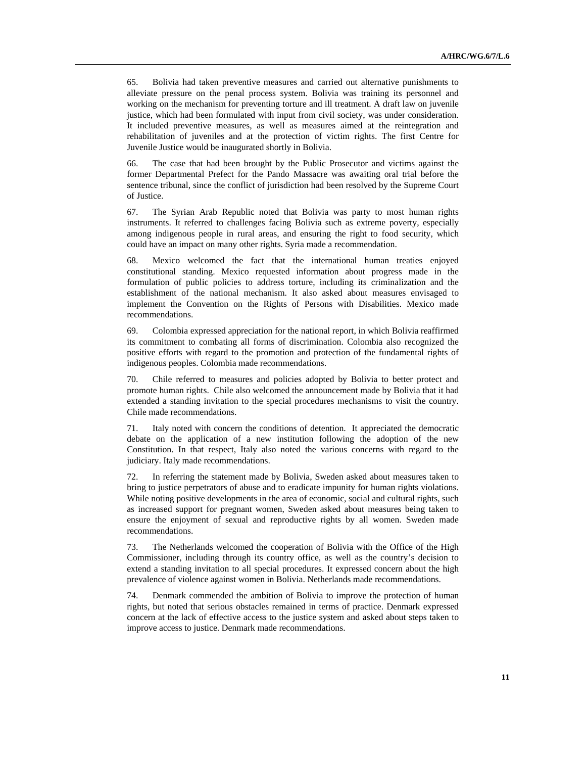65. Bolivia had taken preventive measures and carried out alternative punishments to alleviate pressure on the penal process system. Bolivia was training its personnel and working on the mechanism for preventing torture and ill treatment. A draft law on juvenile justice, which had been formulated with input from civil society, was under consideration. It included preventive measures, as well as measures aimed at the reintegration and rehabilitation of juveniles and at the protection of victim rights. The first Centre for Juvenile Justice would be inaugurated shortly in Bolivia.

66. The case that had been brought by the Public Prosecutor and victims against the former Departmental Prefect for the Pando Massacre was awaiting oral trial before the sentence tribunal, since the conflict of jurisdiction had been resolved by the Supreme Court of Justice.

67. The Syrian Arab Republic noted that Bolivia was party to most human rights instruments. It referred to challenges facing Bolivia such as extreme poverty, especially among indigenous people in rural areas, and ensuring the right to food security, which could have an impact on many other rights. Syria made a recommendation.

68. Mexico welcomed the fact that the international human treaties enjoyed constitutional standing. Mexico requested information about progress made in the formulation of public policies to address torture, including its criminalization and the establishment of the national mechanism. It also asked about measures envisaged to implement the Convention on the Rights of Persons with Disabilities. Mexico made recommendations.

69. Colombia expressed appreciation for the national report, in which Bolivia reaffirmed its commitment to combating all forms of discrimination. Colombia also recognized the positive efforts with regard to the promotion and protection of the fundamental rights of indigenous peoples. Colombia made recommendations.

70. Chile referred to measures and policies adopted by Bolivia to better protect and promote human rights. Chile also welcomed the announcement made by Bolivia that it had extended a standing invitation to the special procedures mechanisms to visit the country. Chile made recommendations.

71. Italy noted with concern the conditions of detention. It appreciated the democratic debate on the application of a new institution following the adoption of the new Constitution. In that respect, Italy also noted the various concerns with regard to the judiciary. Italy made recommendations.

72. In referring the statement made by Bolivia, Sweden asked about measures taken to bring to justice perpetrators of abuse and to eradicate impunity for human rights violations. While noting positive developments in the area of economic, social and cultural rights, such as increased support for pregnant women, Sweden asked about measures being taken to ensure the enjoyment of sexual and reproductive rights by all women. Sweden made recommendations.

73. The Netherlands welcomed the cooperation of Bolivia with the Office of the High Commissioner, including through its country office, as well as the country's decision to extend a standing invitation to all special procedures. It expressed concern about the high prevalence of violence against women in Bolivia. Netherlands made recommendations.

74. Denmark commended the ambition of Bolivia to improve the protection of human rights, but noted that serious obstacles remained in terms of practice. Denmark expressed concern at the lack of effective access to the justice system and asked about steps taken to improve access to justice. Denmark made recommendations.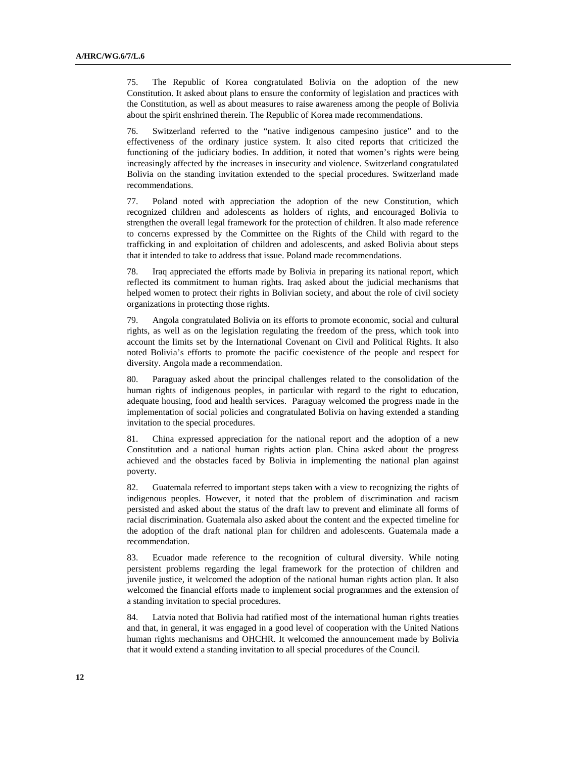75. The Republic of Korea congratulated Bolivia on the adoption of the new Constitution. It asked about plans to ensure the conformity of legislation and practices with the Constitution, as well as about measures to raise awareness among the people of Bolivia about the spirit enshrined therein. The Republic of Korea made recommendations.

76. Switzerland referred to the "native indigenous campesino justice" and to the effectiveness of the ordinary justice system. It also cited reports that criticized the functioning of the judiciary bodies. In addition, it noted that women's rights were being increasingly affected by the increases in insecurity and violence. Switzerland congratulated Bolivia on the standing invitation extended to the special procedures. Switzerland made recommendations.

77. Poland noted with appreciation the adoption of the new Constitution, which recognized children and adolescents as holders of rights, and encouraged Bolivia to strengthen the overall legal framework for the protection of children. It also made reference to concerns expressed by the Committee on the Rights of the Child with regard to the trafficking in and exploitation of children and adolescents, and asked Bolivia about steps that it intended to take to address that issue. Poland made recommendations.

78. Iraq appreciated the efforts made by Bolivia in preparing its national report, which reflected its commitment to human rights. Iraq asked about the judicial mechanisms that helped women to protect their rights in Bolivian society, and about the role of civil society organizations in protecting those rights.

79. Angola congratulated Bolivia on its efforts to promote economic, social and cultural rights, as well as on the legislation regulating the freedom of the press, which took into account the limits set by the International Covenant on Civil and Political Rights. It also noted Bolivia's efforts to promote the pacific coexistence of the people and respect for diversity. Angola made a recommendation.

80. Paraguay asked about the principal challenges related to the consolidation of the human rights of indigenous peoples, in particular with regard to the right to education, adequate housing, food and health services. Paraguay welcomed the progress made in the implementation of social policies and congratulated Bolivia on having extended a standing invitation to the special procedures.

81. China expressed appreciation for the national report and the adoption of a new Constitution and a national human rights action plan. China asked about the progress achieved and the obstacles faced by Bolivia in implementing the national plan against poverty.

82. Guatemala referred to important steps taken with a view to recognizing the rights of indigenous peoples. However, it noted that the problem of discrimination and racism persisted and asked about the status of the draft law to prevent and eliminate all forms of racial discrimination. Guatemala also asked about the content and the expected timeline for the adoption of the draft national plan for children and adolescents. Guatemala made a recommendation.

83. Ecuador made reference to the recognition of cultural diversity. While noting persistent problems regarding the legal framework for the protection of children and juvenile justice, it welcomed the adoption of the national human rights action plan. It also welcomed the financial efforts made to implement social programmes and the extension of a standing invitation to special procedures.

84. Latvia noted that Bolivia had ratified most of the international human rights treaties and that, in general, it was engaged in a good level of cooperation with the United Nations human rights mechanisms and OHCHR. It welcomed the announcement made by Bolivia that it would extend a standing invitation to all special procedures of the Council.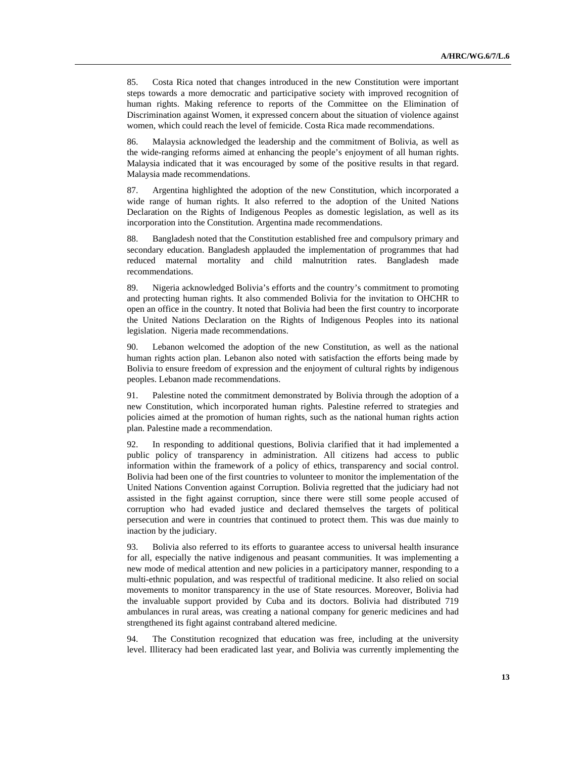85. Costa Rica noted that changes introduced in the new Constitution were important steps towards a more democratic and participative society with improved recognition of human rights. Making reference to reports of the Committee on the Elimination of Discrimination against Women, it expressed concern about the situation of violence against women, which could reach the level of femicide. Costa Rica made recommendations.

86. Malaysia acknowledged the leadership and the commitment of Bolivia, as well as the wide-ranging reforms aimed at enhancing the people's enjoyment of all human rights. Malaysia indicated that it was encouraged by some of the positive results in that regard. Malaysia made recommendations.

87. Argentina highlighted the adoption of the new Constitution, which incorporated a wide range of human rights. It also referred to the adoption of the United Nations Declaration on the Rights of Indigenous Peoples as domestic legislation, as well as its incorporation into the Constitution. Argentina made recommendations.

88. Bangladesh noted that the Constitution established free and compulsory primary and secondary education. Bangladesh applauded the implementation of programmes that had reduced maternal mortality and child malnutrition rates. Bangladesh made recommendations.

89. Nigeria acknowledged Bolivia's efforts and the country's commitment to promoting and protecting human rights. It also commended Bolivia for the invitation to OHCHR to open an office in the country. It noted that Bolivia had been the first country to incorporate the United Nations Declaration on the Rights of Indigenous Peoples into its national legislation. Nigeria made recommendations.

90. Lebanon welcomed the adoption of the new Constitution, as well as the national human rights action plan. Lebanon also noted with satisfaction the efforts being made by Bolivia to ensure freedom of expression and the enjoyment of cultural rights by indigenous peoples. Lebanon made recommendations.

91. Palestine noted the commitment demonstrated by Bolivia through the adoption of a new Constitution, which incorporated human rights. Palestine referred to strategies and policies aimed at the promotion of human rights, such as the national human rights action plan. Palestine made a recommendation.

92. In responding to additional questions, Bolivia clarified that it had implemented a public policy of transparency in administration. All citizens had access to public information within the framework of a policy of ethics, transparency and social control. Bolivia had been one of the first countries to volunteer to monitor the implementation of the United Nations Convention against Corruption. Bolivia regretted that the judiciary had not assisted in the fight against corruption, since there were still some people accused of corruption who had evaded justice and declared themselves the targets of political persecution and were in countries that continued to protect them. This was due mainly to inaction by the judiciary.

93. Bolivia also referred to its efforts to guarantee access to universal health insurance for all, especially the native indigenous and peasant communities. It was implementing a new mode of medical attention and new policies in a participatory manner, responding to a multi-ethnic population, and was respectful of traditional medicine. It also relied on social movements to monitor transparency in the use of State resources. Moreover, Bolivia had the invaluable support provided by Cuba and its doctors. Bolivia had distributed 719 ambulances in rural areas, was creating a national company for generic medicines and had strengthened its fight against contraband altered medicine.

94. The Constitution recognized that education was free, including at the university level. Illiteracy had been eradicated last year, and Bolivia was currently implementing the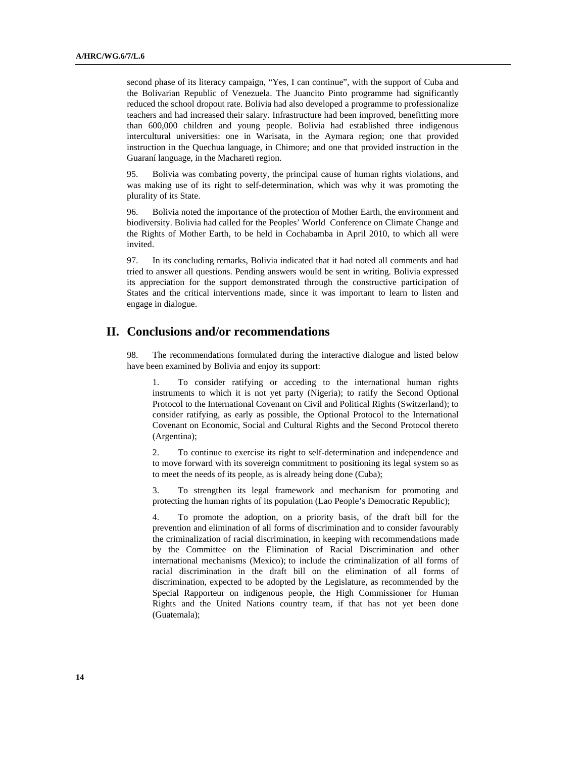second phase of its literacy campaign, "Yes, I can continue", with the support of Cuba and the Bolivarian Republic of Venezuela. The Juancito Pinto programme had significantly reduced the school dropout rate. Bolivia had also developed a programme to professionalize teachers and had increased their salary. Infrastructure had been improved, benefitting more than 600,000 children and young people. Bolivia had established three indigenous intercultural universities: one in Warisata, in the Aymara region; one that provided instruction in the Quechua language, in Chimore; and one that provided instruction in the Guaraní language, in the Machareti region.

95. Bolivia was combating poverty, the principal cause of human rights violations, and was making use of its right to self-determination, which was why it was promoting the plurality of its State.

96. Bolivia noted the importance of the protection of Mother Earth, the environment and biodiversity. Bolivia had called for the Peoples' World Conference on Climate Change and the Rights of Mother Earth, to be held in Cochabamba in April 2010, to which all were invited.

97. In its concluding remarks, Bolivia indicated that it had noted all comments and had tried to answer all questions. Pending answers would be sent in writing. Bolivia expressed its appreciation for the support demonstrated through the constructive participation of States and the critical interventions made, since it was important to learn to listen and engage in dialogue.

## **II. Conclusions and/or recommendations**

98. The recommendations formulated during the interactive dialogue and listed below have been examined by Bolivia and enjoy its support:

1. To consider ratifying or acceding to the international human rights instruments to which it is not yet party (Nigeria); to ratify the Second Optional Protocol to the International Covenant on Civil and Political Rights (Switzerland); to consider ratifying, as early as possible, the Optional Protocol to the International Covenant on Economic, Social and Cultural Rights and the Second Protocol thereto (Argentina);

2. To continue to exercise its right to self-determination and independence and to move forward with its sovereign commitment to positioning its legal system so as to meet the needs of its people, as is already being done (Cuba);

3. To strengthen its legal framework and mechanism for promoting and protecting the human rights of its population (Lao People's Democratic Republic);

4. To promote the adoption, on a priority basis, of the draft bill for the prevention and elimination of all forms of discrimination and to consider favourably the criminalization of racial discrimination, in keeping with recommendations made by the Committee on the Elimination of Racial Discrimination and other international mechanisms (Mexico); to include the criminalization of all forms of racial discrimination in the draft bill on the elimination of all forms of discrimination, expected to be adopted by the Legislature, as recommended by the Special Rapporteur on indigenous people, the High Commissioner for Human Rights and the United Nations country team, if that has not yet been done (Guatemala);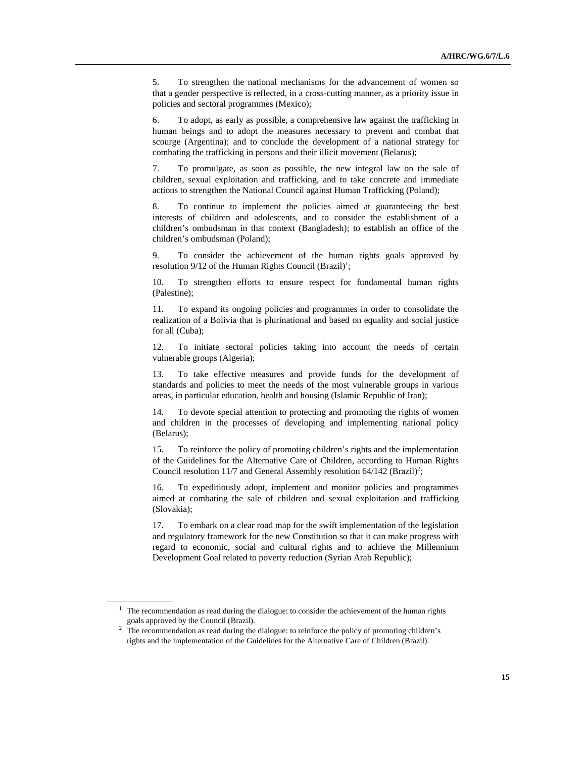5. To strengthen the national mechanisms for the advancement of women so that a gender perspective is reflected, in a cross-cutting manner, as a priority issue in policies and sectoral programmes (Mexico);

6. To adopt, as early as possible, a comprehensive law against the trafficking in human beings and to adopt the measures necessary to prevent and combat that scourge (Argentina); and to conclude the development of a national strategy for combating the trafficking in persons and their illicit movement (Belarus);

7. To promulgate, as soon as possible, the new integral law on the sale of children, sexual exploitation and trafficking, and to take concrete and immediate actions to strengthen the National Council against Human Trafficking (Poland);

8. To continue to implement the policies aimed at guaranteeing the best interests of children and adolescents, and to consider the establishment of a children's ombudsman in that context (Bangladesh); to establish an office of the children's ombudsman (Poland);

9. To consider the achievement of the human rights goals approved by resolution  $9/12$  of the Human Rights Council (Brazil)<sup>1</sup>;

10. To strengthen efforts to ensure respect for fundamental human rights (Palestine);

11. To expand its ongoing policies and programmes in order to consolidate the realization of a Bolivia that is plurinational and based on equality and social justice for all (Cuba);

12. To initiate sectoral policies taking into account the needs of certain vulnerable groups (Algeria);

13. To take effective measures and provide funds for the development of standards and policies to meet the needs of the most vulnerable groups in various areas, in particular education, health and housing (Islamic Republic of Iran);

14. To devote special attention to protecting and promoting the rights of women and children in the processes of developing and implementing national policy (Belarus);

15. To reinforce the policy of promoting children's rights and the implementation of the Guidelines for the Alternative Care of Children, according to Human Rights Council resolution 11/7 and General Assembly resolution  $64/142$  (Brazil)<sup>2</sup>;

16. To expeditiously adopt, implement and monitor policies and programmes aimed at combating the sale of children and sexual exploitation and trafficking (Slovakia);

17. To embark on a clear road map for the swift implementation of the legislation and regulatory framework for the new Constitution so that it can make progress with regard to economic, social and cultural rights and to achieve the Millennium Development Goal related to poverty reduction (Syrian Arab Republic);

 $<sup>1</sup>$  The recommendation as read during the dialogue: to consider the achievement of the human rights</sup> goals approved by the Council (Brazil).<br><sup>2</sup> The recommendation as read during the dialogue: to reinforce the policy of promoting children's

rights and the implementation of the Guidelines for the Alternative Care of Children (Brazil).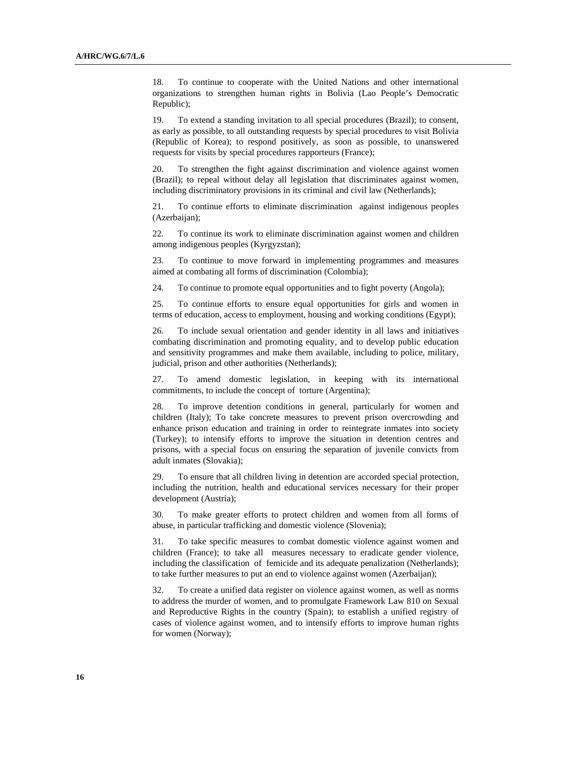18. To continue to cooperate with the United Nations and other international organizations to strengthen human rights in Bolivia (Lao People's Democratic Republic);

19. To extend a standing invitation to all special procedures (Brazil); to consent, as early as possible, to all outstanding requests by special procedures to visit Bolivia (Republic of Korea); to respond positively, as soon as possible, to unanswered requests for visits by special procedures rapporteurs (France);

20. To strengthen the fight against discrimination and violence against women (Brazil); to repeal without delay all legislation that discriminates against women, including discriminatory provisions in its criminal and civil law (Netherlands);

21. To continue efforts to eliminate discrimination against indigenous peoples (Azerbaijan);

22. To continue its work to eliminate discrimination against women and children among indigenous peoples (Kyrgyzstan);

23. To continue to move forward in implementing programmes and measures aimed at combating all forms of discrimination (Colombia);

24. To continue to promote equal opportunities and to fight poverty (Angola);

25. To continue efforts to ensure equal opportunities for girls and women in terms of education, access to employment, housing and working conditions (Egypt);

26. To include sexual orientation and gender identity in all laws and initiatives combating discrimination and promoting equality, and to develop public education and sensitivity programmes and make them available, including to police, military, judicial, prison and other authorities (Netherlands);

27. To amend domestic legislation, in keeping with its international commitments, to include the concept of torture (Argentina);

28. To improve detention conditions in general, particularly for women and children (Italy); To take concrete measures to prevent prison overcrowding and enhance prison education and training in order to reintegrate inmates into society (Turkey); to intensify efforts to improve the situation in detention centres and prisons, with a special focus on ensuring the separation of juvenile convicts from adult inmates (Slovakia);

29. To ensure that all children living in detention are accorded special protection, including the nutrition, health and educational services necessary for their proper development (Austria);

30. To make greater efforts to protect children and women from all forms of abuse, in particular trafficking and domestic violence (Slovenia);

31. To take specific measures to combat domestic violence against women and children (France); to take all measures necessary to eradicate gender violence, including the classification of femicide and its adequate penalization (Netherlands); to take further measures to put an end to violence against women (Azerbaijan);

32. To create a unified data register on violence against women, as well as norms to address the murder of women, and to promulgate Framework Law 810 on Sexual and Reproductive Rights in the country (Spain); to establish a unified registry of cases of violence against women, and to intensify efforts to improve human rights for women (Norway);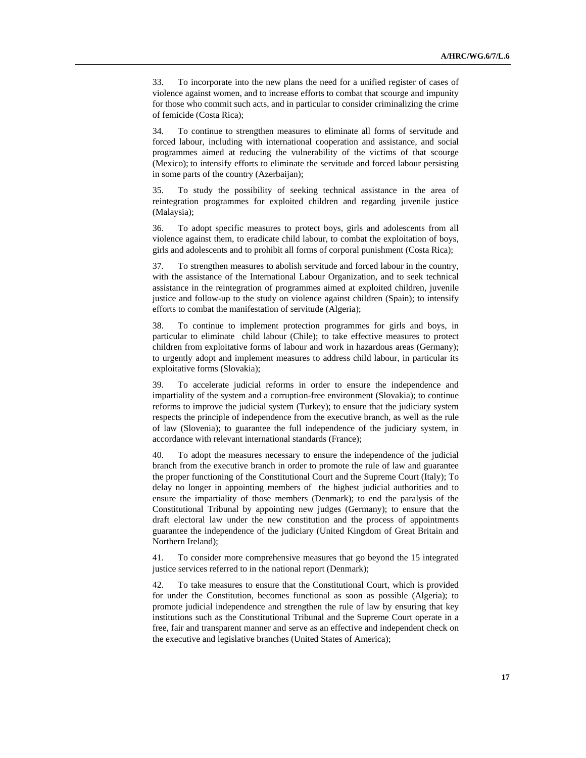33. To incorporate into the new plans the need for a unified register of cases of violence against women, and to increase efforts to combat that scourge and impunity for those who commit such acts, and in particular to consider criminalizing the crime of femicide (Costa Rica);

34. To continue to strengthen measures to eliminate all forms of servitude and forced labour, including with international cooperation and assistance, and social programmes aimed at reducing the vulnerability of the victims of that scourge (Mexico); to intensify efforts to eliminate the servitude and forced labour persisting in some parts of the country (Azerbaijan);

35. To study the possibility of seeking technical assistance in the area of reintegration programmes for exploited children and regarding juvenile justice (Malaysia);

36. To adopt specific measures to protect boys, girls and adolescents from all violence against them, to eradicate child labour, to combat the exploitation of boys, girls and adolescents and to prohibit all forms of corporal punishment (Costa Rica);

37. To strengthen measures to abolish servitude and forced labour in the country, with the assistance of the International Labour Organization, and to seek technical assistance in the reintegration of programmes aimed at exploited children, juvenile justice and follow-up to the study on violence against children (Spain); to intensify efforts to combat the manifestation of servitude (Algeria);

38. To continue to implement protection programmes for girls and boys, in particular to eliminate child labour (Chile); to take effective measures to protect children from exploitative forms of labour and work in hazardous areas (Germany); to urgently adopt and implement measures to address child labour, in particular its exploitative forms (Slovakia);

39. To accelerate judicial reforms in order to ensure the independence and impartiality of the system and a corruption-free environment (Slovakia); to continue reforms to improve the judicial system (Turkey); to ensure that the judiciary system respects the principle of independence from the executive branch, as well as the rule of law (Slovenia); to guarantee the full independence of the judiciary system, in accordance with relevant international standards (France);

40. To adopt the measures necessary to ensure the independence of the judicial branch from the executive branch in order to promote the rule of law and guarantee the proper functioning of the Constitutional Court and the Supreme Court (Italy); To delay no longer in appointing members of the highest judicial authorities and to ensure the impartiality of those members (Denmark); to end the paralysis of the Constitutional Tribunal by appointing new judges (Germany); to ensure that the draft electoral law under the new constitution and the process of appointments guarantee the independence of the judiciary (United Kingdom of Great Britain and Northern Ireland);

41. To consider more comprehensive measures that go beyond the 15 integrated justice services referred to in the national report (Denmark);

42. To take measures to ensure that the Constitutional Court, which is provided for under the Constitution, becomes functional as soon as possible (Algeria); to promote judicial independence and strengthen the rule of law by ensuring that key institutions such as the Constitutional Tribunal and the Supreme Court operate in a free, fair and transparent manner and serve as an effective and independent check on the executive and legislative branches (United States of America);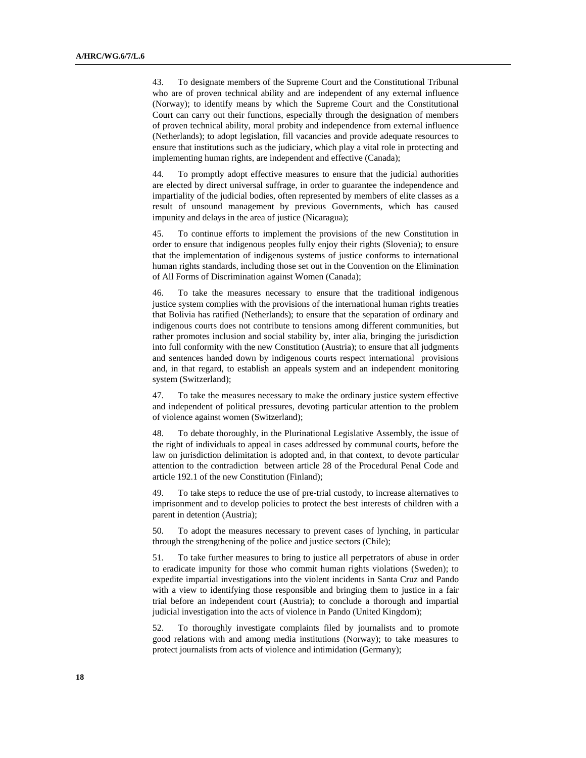43. To designate members of the Supreme Court and the Constitutional Tribunal who are of proven technical ability and are independent of any external influence (Norway); to identify means by which the Supreme Court and the Constitutional Court can carry out their functions, especially through the designation of members of proven technical ability, moral probity and independence from external influence (Netherlands); to adopt legislation, fill vacancies and provide adequate resources to ensure that institutions such as the judiciary, which play a vital role in protecting and implementing human rights, are independent and effective (Canada);

44. To promptly adopt effective measures to ensure that the judicial authorities are elected by direct universal suffrage, in order to guarantee the independence and impartiality of the judicial bodies, often represented by members of elite classes as a result of unsound management by previous Governments, which has caused impunity and delays in the area of justice (Nicaragua);

45. To continue efforts to implement the provisions of the new Constitution in order to ensure that indigenous peoples fully enjoy their rights (Slovenia); to ensure that the implementation of indigenous systems of justice conforms to international human rights standards, including those set out in the Convention on the Elimination of All Forms of Discrimination against Women (Canada);

46. To take the measures necessary to ensure that the traditional indigenous justice system complies with the provisions of the international human rights treaties that Bolivia has ratified (Netherlands); to ensure that the separation of ordinary and indigenous courts does not contribute to tensions among different communities, but rather promotes inclusion and social stability by, inter alia, bringing the jurisdiction into full conformity with the new Constitution (Austria); to ensure that all judgments and sentences handed down by indigenous courts respect international provisions and, in that regard, to establish an appeals system and an independent monitoring system (Switzerland);

47. To take the measures necessary to make the ordinary justice system effective and independent of political pressures, devoting particular attention to the problem of violence against women (Switzerland);

48. To debate thoroughly, in the Plurinational Legislative Assembly, the issue of the right of individuals to appeal in cases addressed by communal courts, before the law on jurisdiction delimitation is adopted and, in that context, to devote particular attention to the contradiction between article 28 of the Procedural Penal Code and article 192.1 of the new Constitution (Finland);

49. To take steps to reduce the use of pre-trial custody, to increase alternatives to imprisonment and to develop policies to protect the best interests of children with a parent in detention (Austria);

50. To adopt the measures necessary to prevent cases of lynching, in particular through the strengthening of the police and justice sectors (Chile);

51. To take further measures to bring to justice all perpetrators of abuse in order to eradicate impunity for those who commit human rights violations (Sweden); to expedite impartial investigations into the violent incidents in Santa Cruz and Pando with a view to identifying those responsible and bringing them to justice in a fair trial before an independent court (Austria); to conclude a thorough and impartial judicial investigation into the acts of violence in Pando (United Kingdom);

52. To thoroughly investigate complaints filed by journalists and to promote good relations with and among media institutions (Norway); to take measures to protect journalists from acts of violence and intimidation (Germany);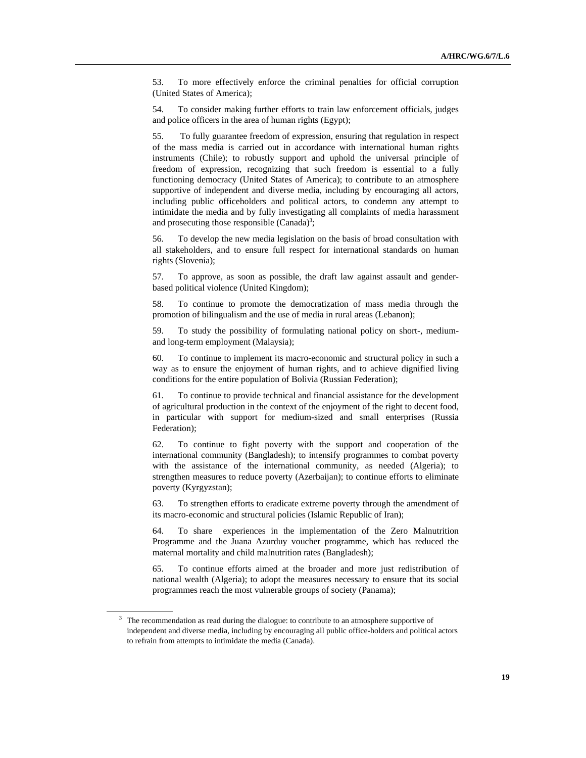53. To more effectively enforce the criminal penalties for official corruption (United States of America);

54. To consider making further efforts to train law enforcement officials, judges and police officers in the area of human rights (Egypt);

55. To fully guarantee freedom of expression, ensuring that regulation in respect of the mass media is carried out in accordance with international human rights instruments (Chile); to robustly support and uphold the universal principle of freedom of expression, recognizing that such freedom is essential to a fully functioning democracy (United States of America); to contribute to an atmosphere supportive of independent and diverse media, including by encouraging all actors, including public officeholders and political actors, to condemn any attempt to intimidate the media and by fully investigating all complaints of media harassment and prosecuting those responsible  $(Canada)^3$ ;

56. To develop the new media legislation on the basis of broad consultation with all stakeholders, and to ensure full respect for international standards on human rights (Slovenia);

57. To approve, as soon as possible, the draft law against assault and genderbased political violence (United Kingdom);

58. To continue to promote the democratization of mass media through the promotion of bilingualism and the use of media in rural areas (Lebanon);

59. To study the possibility of formulating national policy on short-, mediumand long-term employment (Malaysia);

60. To continue to implement its macro-economic and structural policy in such a way as to ensure the enjoyment of human rights, and to achieve dignified living conditions for the entire population of Bolivia (Russian Federation);

61. To continue to provide technical and financial assistance for the development of agricultural production in the context of the enjoyment of the right to decent food, in particular with support for medium-sized and small enterprises (Russia Federation);

62. To continue to fight poverty with the support and cooperation of the international community (Bangladesh); to intensify programmes to combat poverty with the assistance of the international community, as needed (Algeria); to strengthen measures to reduce poverty (Azerbaijan); to continue efforts to eliminate poverty (Kyrgyzstan);

63. To strengthen efforts to eradicate extreme poverty through the amendment of its macro-economic and structural policies (Islamic Republic of Iran);

64. To share experiences in the implementation of the Zero Malnutrition Programme and the Juana Azurduy voucher programme, which has reduced the maternal mortality and child malnutrition rates (Bangladesh);

65. To continue efforts aimed at the broader and more just redistribution of national wealth (Algeria); to adopt the measures necessary to ensure that its social programmes reach the most vulnerable groups of society (Panama);

 $3$  The recommendation as read during the dialogue: to contribute to an atmosphere supportive of independent and diverse media, including by encouraging all public office-holders and political actors to refrain from attempts to intimidate the media (Canada).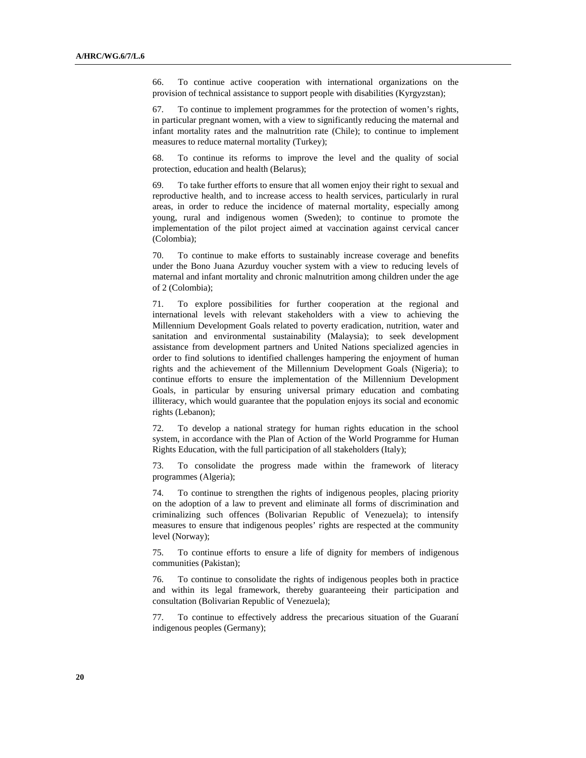66. To continue active cooperation with international organizations on the provision of technical assistance to support people with disabilities (Kyrgyzstan);

67. To continue to implement programmes for the protection of women's rights, in particular pregnant women, with a view to significantly reducing the maternal and infant mortality rates and the malnutrition rate (Chile); to continue to implement measures to reduce maternal mortality (Turkey);

68. To continue its reforms to improve the level and the quality of social protection, education and health (Belarus);

69. To take further efforts to ensure that all women enjoy their right to sexual and reproductive health, and to increase access to health services, particularly in rural areas, in order to reduce the incidence of maternal mortality, especially among young, rural and indigenous women (Sweden); to continue to promote the implementation of the pilot project aimed at vaccination against cervical cancer (Colombia);

70. To continue to make efforts to sustainably increase coverage and benefits under the Bono Juana Azurduy voucher system with a view to reducing levels of maternal and infant mortality and chronic malnutrition among children under the age of 2 (Colombia);

71. To explore possibilities for further cooperation at the regional and international levels with relevant stakeholders with a view to achieving the Millennium Development Goals related to poverty eradication, nutrition, water and sanitation and environmental sustainability (Malaysia); to seek development assistance from development partners and United Nations specialized agencies in order to find solutions to identified challenges hampering the enjoyment of human rights and the achievement of the Millennium Development Goals (Nigeria); to continue efforts to ensure the implementation of the Millennium Development Goals, in particular by ensuring universal primary education and combating illiteracy, which would guarantee that the population enjoys its social and economic rights (Lebanon);

72. To develop a national strategy for human rights education in the school system, in accordance with the Plan of Action of the World Programme for Human Rights Education, with the full participation of all stakeholders (Italy);

73. To consolidate the progress made within the framework of literacy programmes (Algeria);

74. To continue to strengthen the rights of indigenous peoples, placing priority on the adoption of a law to prevent and eliminate all forms of discrimination and criminalizing such offences (Bolivarian Republic of Venezuela); to intensify measures to ensure that indigenous peoples' rights are respected at the community level (Norway);

75. To continue efforts to ensure a life of dignity for members of indigenous communities (Pakistan);

76. To continue to consolidate the rights of indigenous peoples both in practice and within its legal framework, thereby guaranteeing their participation and consultation (Bolivarian Republic of Venezuela);

77. To continue to effectively address the precarious situation of the Guaraní indigenous peoples (Germany);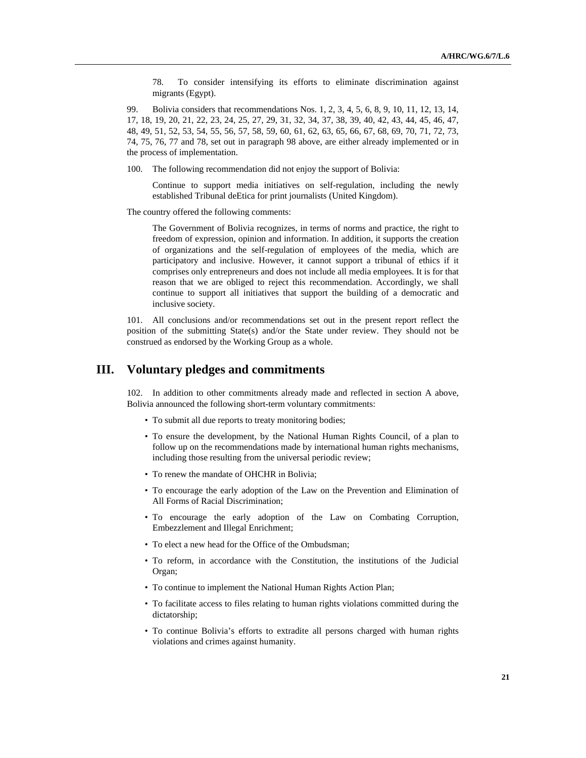78. To consider intensifying its efforts to eliminate discrimination against migrants (Egypt).

99. Bolivia considers that recommendations Nos. 1, 2, 3, 4, 5, 6, 8, 9, 10, 11, 12, 13, 14, 17, 18, 19, 20, 21, 22, 23, 24, 25, 27, 29, 31, 32, 34, 37, 38, 39, 40, 42, 43, 44, 45, 46, 47, 48, 49, 51, 52, 53, 54, 55, 56, 57, 58, 59, 60, 61, 62, 63, 65, 66, 67, 68, 69, 70, 71, 72, 73, 74, 75, 76, 77 and 78, set out in paragraph 98 above, are either already implemented or in the process of implementation.

100. The following recommendation did not enjoy the support of Bolivia:

Continue to support media initiatives on self-regulation, including the newly established Tribunal deEtica for print journalists (United Kingdom).

The country offered the following comments:

The Government of Bolivia recognizes, in terms of norms and practice, the right to freedom of expression, opinion and information. In addition, it supports the creation of organizations and the self-regulation of employees of the media, which are participatory and inclusive. However, it cannot support a tribunal of ethics if it comprises only entrepreneurs and does not include all media employees. It is for that reason that we are obliged to reject this recommendation. Accordingly, we shall continue to support all initiatives that support the building of a democratic and inclusive society.

101. All conclusions and/or recommendations set out in the present report reflect the position of the submitting State(s) and/or the State under review. They should not be construed as endorsed by the Working Group as a whole.

### **III. Voluntary pledges and commitments**

102. In addition to other commitments already made and reflected in section A above, Bolivia announced the following short-term voluntary commitments:

- To submit all due reports to treaty monitoring bodies;
- To ensure the development, by the National Human Rights Council, of a plan to follow up on the recommendations made by international human rights mechanisms, including those resulting from the universal periodic review;
- To renew the mandate of OHCHR in Bolivia;
- To encourage the early adoption of the Law on the Prevention and Elimination of All Forms of Racial Discrimination;
- To encourage the early adoption of the Law on Combating Corruption, Embezzlement and Illegal Enrichment;
- To elect a new head for the Office of the Ombudsman;
- To reform, in accordance with the Constitution, the institutions of the Judicial Organ;
- To continue to implement the National Human Rights Action Plan;
- To facilitate access to files relating to human rights violations committed during the dictatorship;
- To continue Bolivia's efforts to extradite all persons charged with human rights violations and crimes against humanity.